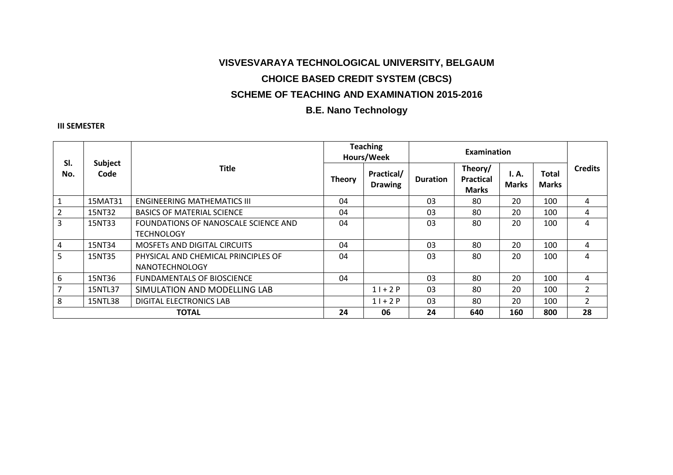# **VISVESVARAYA TECHNOLOGICAL UNIVERSITY, BELGAUM CHOICE BASED CREDIT SYSTEM (CBCS) SCHEME OF TEACHING AND EXAMINATION 2015-2016**

## **B.E. Nano Technology**

### **III SEMESTER**

| SI.<br>No.     | Subject<br>Code | <b>Title</b>                         | <b>Teaching</b><br>Hours/Week |                                     | Examination     |                                             |                       |                              |                |
|----------------|-----------------|--------------------------------------|-------------------------------|-------------------------------------|-----------------|---------------------------------------------|-----------------------|------------------------------|----------------|
|                |                 |                                      | <b>Theory</b>                 | <b>Practical/</b><br><b>Drawing</b> | <b>Duration</b> | Theory/<br><b>Practical</b><br><b>Marks</b> | I. A.<br><b>Marks</b> | <b>Total</b><br><b>Marks</b> | <b>Credits</b> |
|                | 15MAT31         | <b>ENGINEERING MATHEMATICS III</b>   | 04                            |                                     | 03              | 80                                          | 20                    | 100                          | 4              |
| $\overline{2}$ | 15NT32          | <b>BASICS OF MATERIAL SCIENCE</b>    | 04                            |                                     | 03              | 80                                          | 20                    | 100                          | 4              |
| 3              | 15NT33          | FOUNDATIONS OF NANOSCALE SCIENCE AND | 04                            |                                     | 03              | 80                                          | 20                    | 100                          | 4              |
|                |                 | <b>TECHNOLOGY</b>                    |                               |                                     |                 |                                             |                       |                              |                |
| 4              | 15NT34          | <b>MOSFETS AND DIGITAL CIRCUITS</b>  | 04                            |                                     | 03              | 80                                          | 20                    | 100                          | 4              |
| 5              | 15NT35          | PHYSICAL AND CHEMICAL PRINCIPLES OF  | 04                            |                                     | 03              | 80                                          | 20                    | 100                          | 4              |
|                |                 | <b>NANOTECHNOLOGY</b>                |                               |                                     |                 |                                             |                       |                              |                |
| 6              | 15NT36          | <b>FUNDAMENTALS OF BIOSCIENCE</b>    | 04                            |                                     | 03              | 80                                          | 20                    | 100                          | 4              |
| $\overline{7}$ | 15NTL37         | SIMULATION AND MODELLING LAB         |                               | $11+2P$                             | 03              | 80                                          | 20                    | 100                          | $\overline{2}$ |
| 8              | 15NTL38         | <b>DIGITAL ELECTRONICS LAB</b>       |                               | $11+2P$                             | 03              | 80                                          | 20                    | 100                          | $\overline{2}$ |
| <b>TOTAL</b>   |                 | 24                                   | 06                            | 24                                  | 640             | 160                                         | 800                   | 28                           |                |